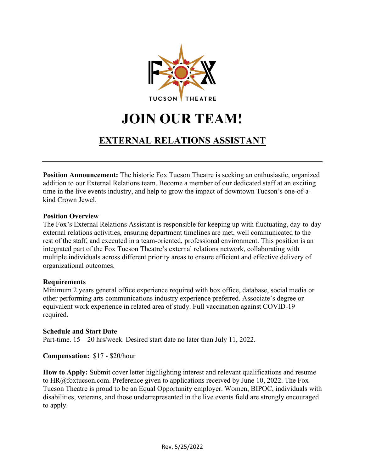

# **JOIN OUR TEAM!**

### **EXTERNAL RELATIONS ASSISTANT**

**Position Announcement:** The historic Fox Tucson Theatre is seeking an enthusiastic, organized addition to our External Relations team. Become a member of our dedicated staff at an exciting time in the live events industry, and help to grow the impact of downtown Tucson's one-of-akind Crown Jewel.

#### **Position Overview**

The Fox's External Relations Assistant is responsible for keeping up with fluctuating, day-to-day external relations activities, ensuring department timelines are met, well communicated to the rest of the staff, and executed in a team-oriented, professional environment. This position is an integrated part of the Fox Tucson Theatre's external relations network, collaborating with multiple individuals across different priority areas to ensure efficient and effective delivery of organizational outcomes.

#### **Requirements**

Minimum 2 years general office experience required with box office, database, social media or other performing arts communications industry experience preferred. Associate's degree or equivalent work experience in related area of study. Full vaccination against COVID-19 required.

#### **Schedule and Start Date**

Part-time. 15 – 20 hrs/week. Desired start date no later than July 11, 2022.

**Compensation:** \$17 - \$20/hour

**How to Apply:** Submit cover letter highlighting interest and relevant qualifications and resume to HR@foxtucson.com. Preference given to applications received by June 10, 2022. The Fox Tucson Theatre is proud to be an Equal Opportunity employer. Women, BIPOC, individuals with disabilities, veterans, and those underrepresented in the live events field are strongly encouraged to apply.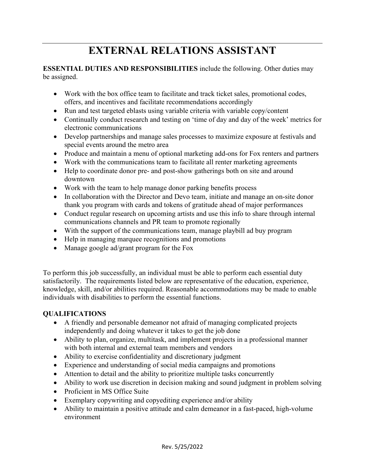## **EXTERNAL RELATIONS ASSISTANT**

#### **ESSENTIAL DUTIES AND RESPONSIBILITIES** include the following. Other duties may be assigned.

- Work with the box office team to facilitate and track ticket sales, promotional codes, offers, and incentives and facilitate recommendations accordingly
- Run and test targeted eblasts using variable criteria with variable copy/content
- Continually conduct research and testing on 'time of day and day of the week' metrics for electronic communications
- Develop partnerships and manage sales processes to maximize exposure at festivals and special events around the metro area
- Produce and maintain a menu of optional marketing add-ons for Fox renters and partners
- Work with the communications team to facilitate all renter marketing agreements
- Help to coordinate donor pre- and post-show gatherings both on site and around downtown
- Work with the team to help manage donor parking benefits process
- In collaboration with the Director and Devo team, initiate and manage an on-site donor thank you program with cards and tokens of gratitude ahead of major performances
- Conduct regular research on upcoming artists and use this info to share through internal communications channels and PR team to promote regionally
- With the support of the communications team, manage playbill ad buy program
- Help in managing marquee recognitions and promotions
- Manage google ad/grant program for the Fox

To perform this job successfully, an individual must be able to perform each essential duty satisfactorily. The requirements listed below are representative of the education, experience, knowledge, skill, and/or abilities required. Reasonable accommodations may be made to enable individuals with disabilities to perform the essential functions.

#### **QUALIFICATIONS**

- A friendly and personable demeanor not afraid of managing complicated projects independently and doing whatever it takes to get the job done
- Ability to plan, organize, multitask, and implement projects in a professional manner with both internal and external team members and vendors
- Ability to exercise confidentiality and discretionary judgment
- Experience and understanding of social media campaigns and promotions
- Attention to detail and the ability to prioritize multiple tasks concurrently
- Ability to work use discretion in decision making and sound judgment in problem solving
- Proficient in MS Office Suite
- Exemplary copywriting and copyediting experience and/or ability
- Ability to maintain a positive attitude and calm demeanor in a fast-paced, high-volume environment